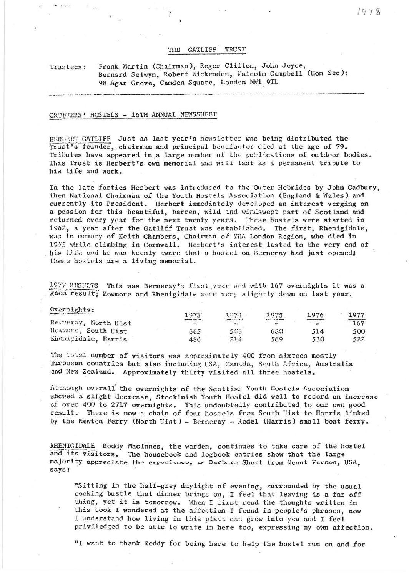## THE GATLIFF TRUST

## Frank Martin (Chairman), Roger Clifton, John Joyce, Trustees: Bernard Selwyn, Robert Wickenden, Malcolm Campbell (Hon Sec): 98 Agar Grove, Camden Square, London NW1-9TL

## CROFTERS' HOSTELS - 16TH ANNUAL NEWSSHEET

HEREERT GATLIFF Just as last year's newsletter was being distributed the Trust's founder, chairman and principal benefactor died at the age of 79. Tributes have appeared in a large number of the publications of outdoor bodies. This Trust is Herbert's own memorial and will last as a permanent tribute to his life and work.

In the late forties Herbert was introduced to the Outer Hebrides by John Cadbury, then National Chairman of the Youth Hostels Association (England & Wales) and currently its President. Herbert immediately developed an interest verging on a passion for this beautiful, barren, wild and windswept part of Scotland and returned every year for the next twenty years. These hostels were started in 1962, a year after the Gatliff Trust was established. The first, Rhenigidale, was in memory of Keith Chambers, Chairman of YHA London Region, who died in 1955 while climbing in Cornwall. Herbert's interest lasted to the very end of his life and he was keenly aware that a hostel on Berneray had just opened; these hostels are a living memorial.

1977 RESULTS This was Berneray's first year and with 167 overnights it was a good result; Nowmore and Rhenigidale were very slightly down on last year.

| Overnights:          | 1973                               | 1974        | 1975 | 1976 | 1977 |
|----------------------|------------------------------------|-------------|------|------|------|
| Berneray, North Uist | <b>BARBER, ANY JON</b><br>$\cdots$ | <b>WHEN</b> | $-$  |      | 167  |
| Hamore, South Uist   | 665                                | 508         | 680  | 514  | 500  |
| Rhenigidale, Harris  | 486                                | 214         | 569  | 530  | 522  |

The total number of visitors was approximately 400 from sixteen mostly Buropean countries but also including USA, Canada, South Africa, Australia and New Zealand. Approximately thirty visited all three hostels.

Although overall the overnights of the Scottish Youth Hostels Association showed a slight decrease. Stockinish Youth Hostel did well to record an increase of over 400 to 2717 overnights. This undoubtedly contributed to our own good result. There is now a chain of four hostels from South Uist to Harris linked by the Newton Ferry (North Uist) - Berneray - Rodel (Harris) small boat ferry.

RHENIGIDALE Roddy MacInnes, the warden, continues to take care of the hostel and its visitors. The housebook and logbook entries show that the large majority appreciate the exporience, as Barbara Short from Mount Vernon, USA, says:

"Sitting in the half-grey daylight of evening, surrounded by the usual cooking bustle that dinner brings on, I feel that leaving is a far off thing, yet it is tomorrow. When I first read the thoughts written in this book I wondered at the affection I found in perple's phrases, now I understand how living in this place can grow into you and I feel priviledged to be able to write in here too, expressing my own affection.

"I want to thank Roddy for being here to help the hostel run on and for